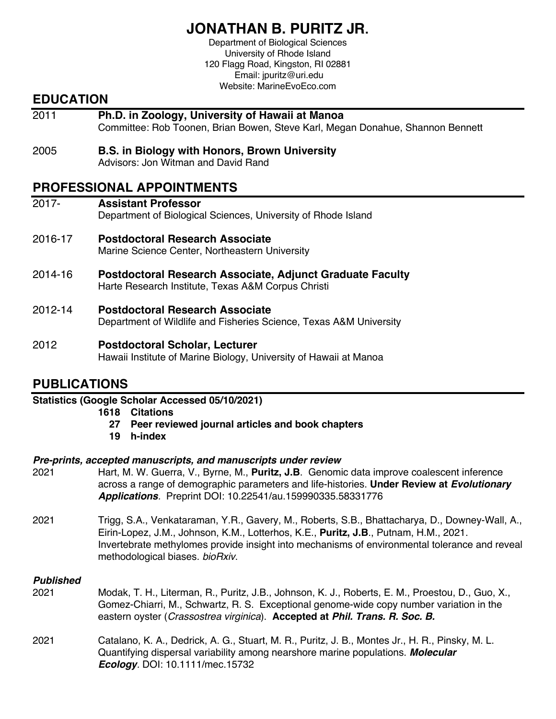## **JONATHAN B. PURITZ JR.**

Department of Biological Sciences University of Rhode Island 120 Flagg Road, Kingston, RI 02881 Email: jpuritz@uri.edu Website: MarineEvoEco.com

## **EDUCATION**

- 2011 **Ph.D. in Zoology, University of Hawaii at Manoa** Committee: Rob Toonen, Brian Bowen, Steve Karl, Megan Donahue, Shannon Bennett
- 2005 **B.S. in Biology with Honors, Brown University** Advisors: Jon Witman and David Rand

## **PROFESSIONAL APPOINTMENTS**

| $2017 -$ | <b>Assistant Professor</b><br>Department of Biological Sciences, University of Rhode Island                     |
|----------|-----------------------------------------------------------------------------------------------------------------|
| 2016-17  | Postdoctoral Research Associate<br>Marine Science Center, Northeastern University                               |
| 2014-16  | Postdoctoral Research Associate, Adjunct Graduate Faculty<br>Harte Research Institute, Texas A&M Corpus Christi |
| 2012-14  | <b>Postdoctoral Research Associate</b>                                                                          |

- Department of Wildlife and Fisheries Science, Texas A&M University
- 2012 **Postdoctoral Scholar, Lecturer**

Hawaii Institute of Marine Biology, University of Hawaii at Manoa

## **PUBLICATIONS**

#### **Statistics (Google Scholar Accessed 05/10/2021)**

- **1618 Citations**
	- **27 Peer reviewed journal articles and book chapters**
	- **19 h-index**

#### *Pre-prints, accepted manuscripts, and manuscripts under review*

- 2021 Hart, M. W. Guerra, V., Byrne, M., **Puritz, J.B**. Genomic data improve coalescent inference across a range of demographic parameters and life-histories. **Under Review at** *Evolutionary Applications.* Preprint DOI: 10.22541/au.159990335.58331776
- 2021 Trigg, S.A., Venkataraman, Y.R., Gavery, M., Roberts, S.B., Bhattacharya, D., Downey-Wall, A., Eirin-Lopez, J.M., Johnson, K.M., Lotterhos, K.E., **Puritz, J.B**., Putnam, H.M., 2021. Invertebrate methylomes provide insight into mechanisms of environmental tolerance and reveal methodological biases. *bioRxiv*.

#### *Published*

- 2021 Modak, T. H., Literman, R., Puritz, J.B., Johnson, K. J., Roberts, E. M., Proestou, D., Guo, X., Gomez-Chiarri, M., Schwartz, R. S. Exceptional genome-wide copy number variation in the eastern oyster (*Crassostrea virginica*). **Accepted at** *Phil. Trans. R. Soc. B.*
- 2021 Catalano, K. A., Dedrick, A. G., Stuart, M. R., Puritz, J. B., Montes Jr., H. R., Pinsky, M. L. Quantifying dispersal variability among nearshore marine populations. *Molecular Ecology.* DOI: 10.1111/mec.15732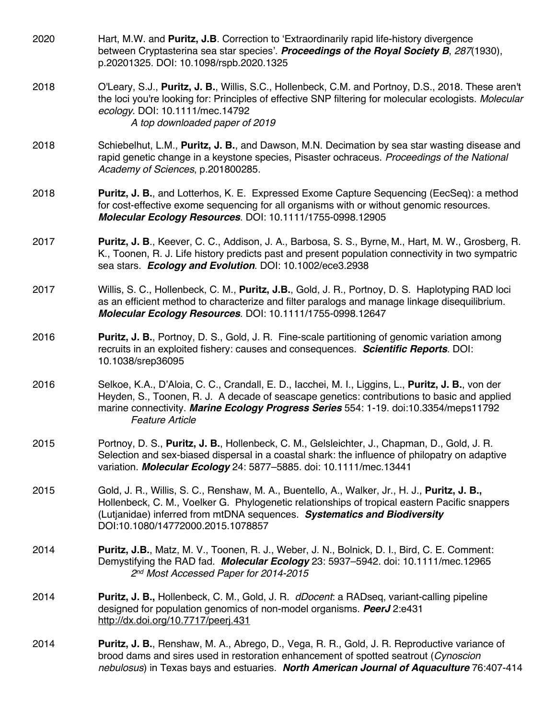| 2020 | Hart, M.W. and Puritz, J.B. Correction to 'Extraordinarily rapid life-history divergence<br>between Cryptasterina sea star species'. Proceedings of the Royal Society B, 287(1930),<br>p.20201325. DOI: 10.1098/rspb.2020.1325                                                                                      |
|------|---------------------------------------------------------------------------------------------------------------------------------------------------------------------------------------------------------------------------------------------------------------------------------------------------------------------|
| 2018 | O'Leary, S.J., Puritz, J. B., Willis, S.C., Hollenbeck, C.M. and Portnoy, D.S., 2018. These aren't<br>the loci you're looking for: Principles of effective SNP filtering for molecular ecologists. Molecular<br>ecology. DOI: 10.1111/mec.14792<br>A top downloaded paper of 2019                                   |
| 2018 | Schiebelhut, L.M., Puritz, J. B., and Dawson, M.N. Decimation by sea star wasting disease and<br>rapid genetic change in a keystone species, Pisaster ochraceus. Proceedings of the National<br>Academy of Sciences, p.201800285.                                                                                   |
| 2018 | <b>Puritz, J. B., and Lotterhos, K. E. Expressed Exome Capture Sequencing (EecSeq): a method</b><br>for cost-effective exome sequencing for all organisms with or without genomic resources.<br>Molecular Ecology Resources. DOI: 10.1111/1755-0998.12905                                                           |
| 2017 | Puritz, J. B., Keever, C. C., Addison, J. A., Barbosa, S. S., Byrne, M., Hart, M. W., Grosberg, R.<br>K., Toonen, R. J. Life history predicts past and present population connectivity in two sympatric<br>sea stars. Ecology and Evolution. DOI: 10.1002/ece3.2938                                                 |
| 2017 | Willis, S. C., Hollenbeck, C. M., Puritz, J.B., Gold, J. R., Portnoy, D. S. Haplotyping RAD loci<br>as an efficient method to characterize and filter paralogs and manage linkage disequilibrium.<br>Molecular Ecology Resources. DOI: 10.1111/1755-0998.12647                                                      |
| 2016 | Puritz, J. B., Portnoy, D. S., Gold, J. R. Fine-scale partitioning of genomic variation among<br>recruits in an exploited fishery: causes and consequences. Scientific Reports. DOI:<br>10.1038/srep36095                                                                                                           |
| 2016 | Selkoe, K.A., D'Aloia, C. C., Crandall, E. D., lacchei, M. I., Liggins, L., Puritz, J. B., von der<br>Heyden, S., Toonen, R. J. A decade of seascape genetics: contributions to basic and applied<br>marine connectivity. Marine Ecology Progress Series 554: 1-19. doi:10.3354/meps11792<br><b>Feature Article</b> |
| 2015 | Portnoy, D. S., Puritz, J. B., Hollenbeck, C. M., Gelsleichter, J., Chapman, D., Gold, J. R.<br>Selection and sex-biased dispersal in a coastal shark: the influence of philopatry on adaptive<br>variation. Molecular Ecology 24: 5877-5885. doi: 10.1111/mec.13441                                                |
| 2015 | Gold, J. R., Willis, S. C., Renshaw, M. A., Buentello, A., Walker, Jr., H. J., Puritz, J. B.,<br>Hollenbeck, C. M., Voelker G. Phylogenetic relationships of tropical eastern Pacific snappers<br>(Lutjanidae) inferred from mtDNA sequences. Systematics and Biodiversity<br>DOI:10.1080/14772000.2015.1078857     |
| 2014 | Puritz, J.B., Matz, M. V., Toonen, R. J., Weber, J. N., Bolnick, D. I., Bird, C. E. Comment:<br>Demystifying the RAD fad. Molecular Ecology 23: 5937-5942. doi: 10.1111/mec.12965<br>2nd Most Accessed Paper for 2014-2015                                                                                          |
| 2014 | <b>Puritz, J. B., Hollenbeck, C. M., Gold, J. R. dDocent. a RADseq, variant-calling pipeline</b><br>designed for population genomics of non-model organisms. PeerJ 2:e431<br>http://dx.doi.org/10.7717/peerj.431                                                                                                    |
| 2014 | <b>Puritz, J. B.</b> , Renshaw, M. A., Abrego, D., Vega, R. R., Gold, J. R. Reproductive variance of<br>brood dams and sires used in restoration enhancement of spotted seatrout (Cynoscion<br>nebulosus) in Texas bays and estuaries. North American Journal of Aquaculture 76:407-414                             |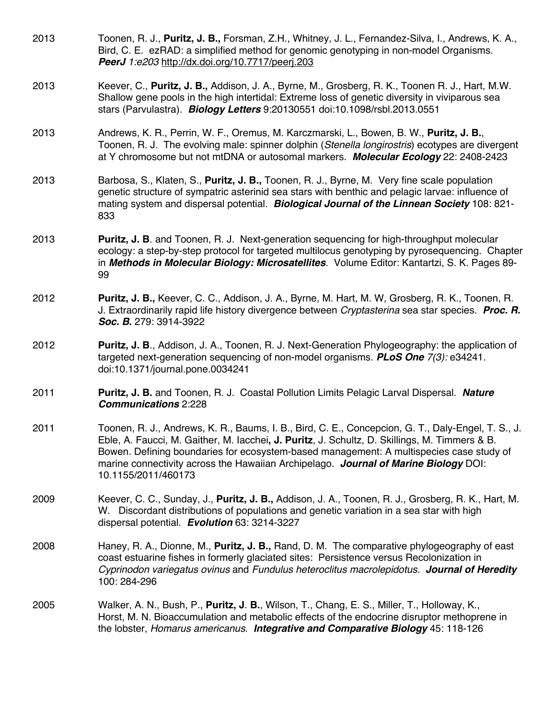- 2013 Toonen, R. J., **Puritz, J. B.,** Forsman, Z.H., Whitney, J. L., Fernandez-Silva, I., Andrews, K. A., Bird, C. E. ezRAD: a simplified method for genomic genotyping in non-model Organisms. *PeerJ 1:e203* http://dx.doi.org/10.7717/peerj.203
- 2013 Keever, C., **Puritz, J. B.,** Addison, J. A., Byrne, M., Grosberg, R. K., Toonen R. J., Hart, M.W. Shallow gene pools in the high intertidal: Extreme loss of genetic diversity in viviparous sea stars (Parvulastra). *Biology Letters* 9:20130551 doi:10.1098/rsbl.2013.0551
- 2013 Andrews, K. R., Perrin, W. F., Oremus, M. Karczmarski, L., Bowen, B. W., **Puritz, J. B.**, Toonen, R. J. The evolving male: spinner dolphin (*Stenella longirostris*) ecotypes are divergent at Y chromosome but not mtDNA or autosomal markers. *Molecular Ecology* 22: 2408-2423
- 2013 Barbosa, S., Klaten, S., **Puritz, J. B.,** Toonen, R. J., Byrne, M. Very fine scale population genetic structure of sympatric asterinid sea stars with benthic and pelagic larvae: influence of mating system and dispersal potential. *Biological Journal of the Linnean Society* 108: 821- 833
- 2013 **Puritz, J. B**. and Toonen, R. J. Next-generation sequencing for high-throughput molecular ecology: a step-by-step protocol for targeted multilocus genotyping by pyrosequencing. Chapter in *Methods in Molecular Biology: Microsatellites*. Volume Editor: Kantartzi, S. K. Pages 89- 99
- 2012 **Puritz, J. B.,** Keever, C. C., Addison, J. A., Byrne, M. Hart, M. W, Grosberg, R. K., Toonen, R. J. Extraordinarily rapid life history divergence between *Cryptasterina* sea star species. *Proc. R. Soc. B***.** 279: 3914-3922
- 2012 **Puritz, J. B**., Addison, J. A., Toonen, R. J. Next-Generation Phylogeography: the application of targeted next-generation sequencing of non-model organisms. *PLoS One 7(3):* e34241. doi:10.1371/journal.pone.0034241
- 2011 **Puritz, J. B.** and Toonen, R. J. Coastal Pollution Limits Pelagic Larval Dispersal. *Nature Communications* 2:228
- 2011 Toonen, R. J., Andrews, K. R., Baums, I. B., Bird, C. E., Concepcion, G. T., Daly-Engel, T. S., J. Eble, A. Faucci, M. Gaither, M. Iacchei**, J. Puritz**, J. Schultz, D. Skillings, M. Timmers & B. Bowen. Defining boundaries for ecosystem-based management: A multispecies case study of marine connectivity across the Hawaiian Archipelago. *Journal of Marine Biology* DOI: 10.1155/2011/460173
- 2009 Keever, C. C., Sunday, J., **Puritz, J. B.,** Addison, J. A., Toonen, R. J., Grosberg, R. K., Hart, M. W. Discordant distributions of populations and genetic variation in a sea star with high dispersal potential. *Evolution* 63: 3214-3227
- 2008 Haney, R. A., Dionne, M., **Puritz, J. B.,** Rand, D. M. The comparative phylogeography of east coast estuarine fishes in formerly glaciated sites: Persistence versus Recolonization in *Cyprinodon variegatus ovinus* and *Fundulus heteroclitus macrolepidotus. Journal of Heredity* 100: 284-296
- 2005 Walker, A. N., Bush, P., **Puritz, J**. **B.**, Wilson, T., Chang, E. S., Miller, T., Holloway, K., Horst, M. N. Bioaccumulation and metabolic effects of the endocrine disruptor methoprene in the lobster, *Homarus americanus*. *Integrative and Comparative Biology* 45: 118-126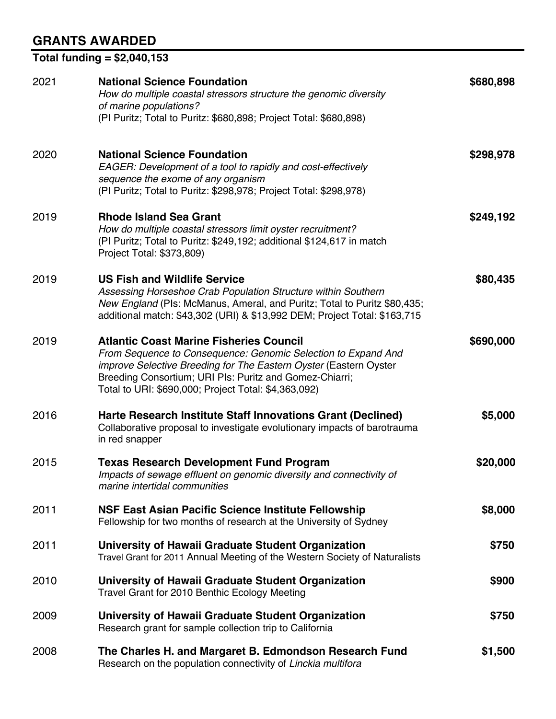## **GRANTS AWARDED**

**Total funding = \$2,040,153**

| 2021 | <b>National Science Foundation</b><br>How do multiple coastal stressors structure the genomic diversity<br>of marine populations?<br>(PI Puritz; Total to Puritz: \$680,898; Project Total: \$680,898)                                                                                                  | \$680,898 |
|------|---------------------------------------------------------------------------------------------------------------------------------------------------------------------------------------------------------------------------------------------------------------------------------------------------------|-----------|
| 2020 | <b>National Science Foundation</b><br>EAGER: Development of a tool to rapidly and cost-effectively<br>sequence the exome of any organism<br>(PI Puritz; Total to Puritz: \$298,978; Project Total: \$298,978)                                                                                           | \$298,978 |
| 2019 | <b>Rhode Island Sea Grant</b><br>How do multiple coastal stressors limit oyster recruitment?<br>(PI Puritz; Total to Puritz: \$249,192; additional \$124,617 in match<br>Project Total: \$373,809)                                                                                                      | \$249,192 |
| 2019 | <b>US Fish and Wildlife Service</b><br>Assessing Horseshoe Crab Population Structure within Southern<br>New England (PIs: McManus, Ameral, and Puritz; Total to Puritz \$80,435;<br>additional match: \$43,302 (URI) & \$13,992 DEM; Project Total: \$163,715                                           | \$80,435  |
| 2019 | <b>Atlantic Coast Marine Fisheries Council</b><br>From Sequence to Consequence: Genomic Selection to Expand And<br>improve Selective Breeding for The Eastern Oyster (Eastern Oyster<br>Breeding Consortium; URI PIs: Puritz and Gomez-Chiarri;<br>Total to URI: \$690,000; Project Total: \$4,363,092) | \$690,000 |
| 2016 | Harte Research Institute Staff Innovations Grant (Declined)<br>Collaborative proposal to investigate evolutionary impacts of barotrauma<br>in red snapper                                                                                                                                               | \$5,000   |
| 2015 | <b>Texas Research Development Fund Program</b><br>Impacts of sewage effluent on genomic diversity and connectivity of<br>marine intertidal communities                                                                                                                                                  | \$20,000  |
| 2011 | NSF East Asian Pacific Science Institute Fellowship<br>Fellowship for two months of research at the University of Sydney                                                                                                                                                                                | \$8,000   |
| 2011 | University of Hawaii Graduate Student Organization<br>Travel Grant for 2011 Annual Meeting of the Western Society of Naturalists                                                                                                                                                                        | \$750     |
| 2010 | University of Hawaii Graduate Student Organization<br>Travel Grant for 2010 Benthic Ecology Meeting                                                                                                                                                                                                     | \$900     |
| 2009 | University of Hawaii Graduate Student Organization<br>Research grant for sample collection trip to California                                                                                                                                                                                           | \$750     |
| 2008 | The Charles H. and Margaret B. Edmondson Research Fund<br>Research on the population connectivity of Linckia multifora                                                                                                                                                                                  | \$1,500   |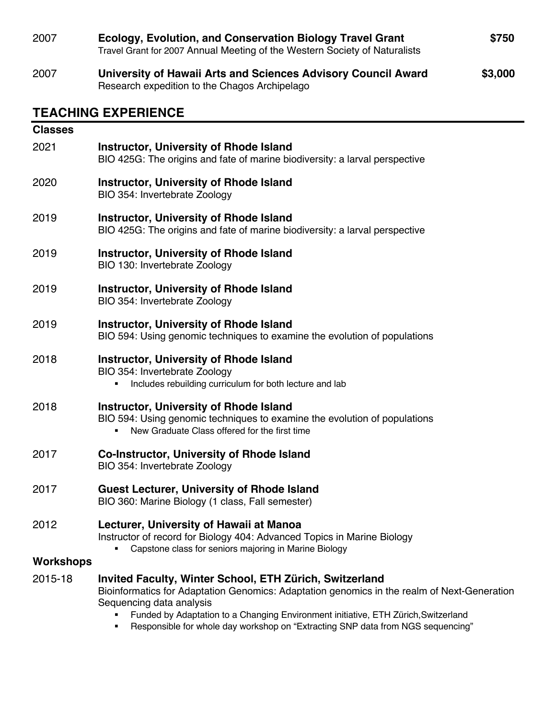| 2007             | Ecology, Evolution, and Conservation Biology Travel Grant<br>Travel Grant for 2007 Annual Meeting of the Western Society of Naturalists                                                                                                                                                                                                                     | \$750 |  |
|------------------|-------------------------------------------------------------------------------------------------------------------------------------------------------------------------------------------------------------------------------------------------------------------------------------------------------------------------------------------------------------|-------|--|
| 2007             | \$3,000<br>University of Hawaii Arts and Sciences Advisory Council Award<br>Research expedition to the Chagos Archipelago                                                                                                                                                                                                                                   |       |  |
|                  | <b>TEACHING EXPERIENCE</b>                                                                                                                                                                                                                                                                                                                                  |       |  |
| <b>Classes</b>   |                                                                                                                                                                                                                                                                                                                                                             |       |  |
| 2021             | <b>Instructor, University of Rhode Island</b><br>BIO 425G: The origins and fate of marine biodiversity: a larval perspective                                                                                                                                                                                                                                |       |  |
| 2020             | <b>Instructor, University of Rhode Island</b><br>BIO 354: Invertebrate Zoology                                                                                                                                                                                                                                                                              |       |  |
| 2019             | <b>Instructor, University of Rhode Island</b><br>BIO 425G: The origins and fate of marine biodiversity: a larval perspective                                                                                                                                                                                                                                |       |  |
| 2019             | <b>Instructor, University of Rhode Island</b><br>BIO 130: Invertebrate Zoology                                                                                                                                                                                                                                                                              |       |  |
| 2019             | <b>Instructor, University of Rhode Island</b><br>BIO 354: Invertebrate Zoology                                                                                                                                                                                                                                                                              |       |  |
| 2019             | <b>Instructor, University of Rhode Island</b><br>BIO 594: Using genomic techniques to examine the evolution of populations                                                                                                                                                                                                                                  |       |  |
| 2018             | <b>Instructor, University of Rhode Island</b><br>BIO 354: Invertebrate Zoology<br>Includes rebuilding curriculum for both lecture and lab                                                                                                                                                                                                                   |       |  |
| 2018             | <b>Instructor, University of Rhode Island</b><br>BIO 594: Using genomic techniques to examine the evolution of populations<br>New Graduate Class offered for the first time                                                                                                                                                                                 |       |  |
| 2017             | <b>Co-Instructor, University of Rhode Island</b><br>BIO 354: Invertebrate Zoology                                                                                                                                                                                                                                                                           |       |  |
| 2017             | <b>Guest Lecturer, University of Rhode Island</b><br>BIO 360: Marine Biology (1 class, Fall semester)                                                                                                                                                                                                                                                       |       |  |
| 2012             | Lecturer, University of Hawaii at Manoa<br>Instructor of record for Biology 404: Advanced Topics in Marine Biology<br>Capstone class for seniors majoring in Marine Biology                                                                                                                                                                                 |       |  |
| <b>Workshops</b> |                                                                                                                                                                                                                                                                                                                                                             |       |  |
| 2015-18          | Invited Faculty, Winter School, ETH Zürich, Switzerland<br>Bioinformatics for Adaptation Genomics: Adaptation genomics in the realm of Next-Generation<br>Sequencing data analysis<br>Funded by Adaptation to a Changing Environment initiative, ETH Zürich, Switzerland<br>Responsible for whole day workshop on "Extracting SNP data from NGS sequencing" |       |  |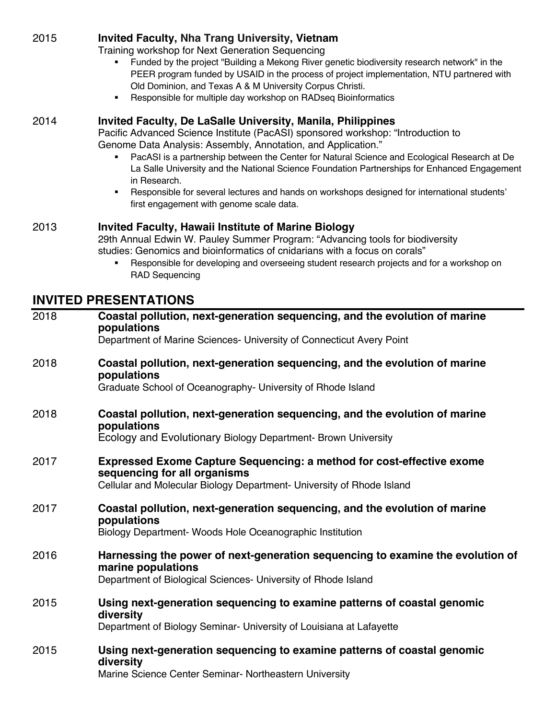#### 2015 **Invited Faculty, Nha Trang University, Vietnam**

Training workshop for Next Generation Sequencing

- § Funded by the project "Building a Mekong River genetic biodiversity research network" in the PEER program funded by USAID in the process of project implementation, NTU partnered with Old Dominion, and Texas A & M University Corpus Christi.
- Responsible for multiple day workshop on RADseg Bioinformatics

#### 2014 **Invited Faculty, De LaSalle University, Manila, Philippines**

Pacific Advanced Science Institute (PacASI) sponsored workshop: "Introduction to Genome Data Analysis: Assembly, Annotation, and Application."

- § PacASI is a partnership between the Center for Natural Science and Ecological Research at De La Salle University and the National Science Foundation Partnerships for Enhanced Engagement in Research.
- **Responsible for several lectures and hands on workshops designed for international students'** first engagement with genome scale data.

#### 2013 **Invited Faculty, Hawaii Institute of Marine Biology**

29th Annual Edwin W. Pauley Summer Program: "Advancing tools for biodiversity studies: Genomics and bioinformatics of cnidarians with a focus on corals"

**■** Responsible for developing and overseeing student research projects and for a workshop on RAD Sequencing

### **INVITED PRESENTATIONS**

| 2018 | Coastal pollution, next-generation sequencing, and the evolution of marine<br>populations<br>Department of Marine Sciences- University of Connecticut Avery Point                     |
|------|---------------------------------------------------------------------------------------------------------------------------------------------------------------------------------------|
| 2018 | Coastal pollution, next-generation sequencing, and the evolution of marine<br>populations<br>Graduate School of Oceanography- University of Rhode Island                              |
| 2018 | Coastal pollution, next-generation sequencing, and the evolution of marine<br>populations<br>Ecology and Evolutionary Biology Department- Brown University                            |
| 2017 | <b>Expressed Exome Capture Sequencing: a method for cost-effective exome</b><br>sequencing for all organisms<br>Cellular and Molecular Biology Department- University of Rhode Island |
| 2017 | Coastal pollution, next-generation sequencing, and the evolution of marine<br>populations<br>Biology Department- Woods Hole Oceanographic Institution                                 |
| 2016 | Harnessing the power of next-generation sequencing to examine the evolution of<br>marine populations<br>Department of Biological Sciences- University of Rhode Island                 |
| 2015 | Using next-generation sequencing to examine patterns of coastal genomic<br>diversity<br>Department of Biology Seminar- University of Louisiana at Lafayette                           |
| 2015 | Using next-generation sequencing to examine patterns of coastal genomic<br>diversity<br>Marine Science Center Seminar- Northeastern University                                        |

Marine Science Center Seminar- Northeastern University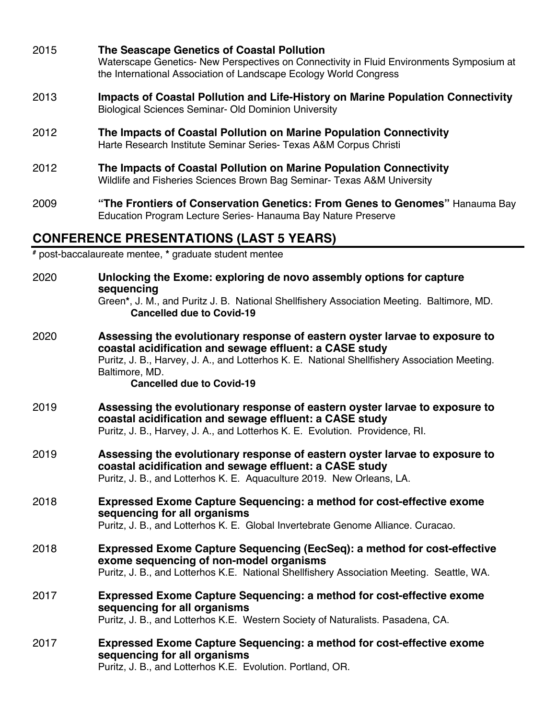| 2015 | The Seascape Genetics of Coastal Pollution<br>Waterscape Genetics- New Perspectives on Connectivity in Fluid Environments Symposium at<br>the International Association of Landscape Ecology World Congress                                                                                  |
|------|----------------------------------------------------------------------------------------------------------------------------------------------------------------------------------------------------------------------------------------------------------------------------------------------|
| 2013 | Impacts of Coastal Pollution and Life-History on Marine Population Connectivity<br><b>Biological Sciences Seminar- Old Dominion University</b>                                                                                                                                               |
| 2012 | The Impacts of Coastal Pollution on Marine Population Connectivity<br>Harte Research Institute Seminar Series- Texas A&M Corpus Christi                                                                                                                                                      |
| 2012 | The Impacts of Coastal Pollution on Marine Population Connectivity<br>Wildlife and Fisheries Sciences Brown Bag Seminar- Texas A&M University                                                                                                                                                |
| 2009 | "The Frontiers of Conservation Genetics: From Genes to Genomes" Hanauma Bay<br>Education Program Lecture Series- Hanauma Bay Nature Preserve                                                                                                                                                 |
|      | <b>CONFERENCE PRESENTATIONS (LAST 5 YEARS)</b>                                                                                                                                                                                                                                               |
|      | # post-baccalaureate mentee, * graduate student mentee                                                                                                                                                                                                                                       |
| 2020 | Unlocking the Exome: exploring de novo assembly options for capture<br>sequencing<br>Green*, J. M., and Puritz J. B. National Shellfishery Association Meeting. Baltimore, MD.<br><b>Cancelled due to Covid-19</b>                                                                           |
| 2020 | Assessing the evolutionary response of eastern oyster larvae to exposure to<br>coastal acidification and sewage effluent: a CASE study<br>Puritz, J. B., Harvey, J. A., and Lotterhos K. E. National Shellfishery Association Meeting.<br>Baltimore, MD.<br><b>Cancelled due to Covid-19</b> |
| 2019 | Assessing the evolutionary response of eastern oyster larvae to exposure to<br>coastal acidification and sewage effluent: a CASE study<br>Puritz, J. B., Harvey, J. A., and Lotterhos K. E. Evolution. Providence, RI.                                                                       |
| 2019 | Assessing the evolutionary response of eastern oyster larvae to exposure to<br>coastal acidification and sewage effluent: a CASE study<br>Puritz, J. B., and Lotterhos K. E. Aquaculture 2019. New Orleans, LA.                                                                              |
| 2018 | <b>Expressed Exome Capture Sequencing: a method for cost-effective exome</b><br>sequencing for all organisms<br>Puritz, J. B., and Lotterhos K. E. Global Invertebrate Genome Alliance. Curacao.                                                                                             |
| 2018 | <b>Expressed Exome Capture Sequencing (EecSeq): a method for cost-effective</b><br>exome sequencing of non-model organisms<br>Puritz, J. B., and Lotterhos K.E. National Shellfishery Association Meeting. Seattle, WA.                                                                      |
| 2017 | <b>Expressed Exome Capture Sequencing: a method for cost-effective exome</b><br>sequencing for all organisms<br>Puritz, J. B., and Lotterhos K.E. Western Society of Naturalists. Pasadena, CA.                                                                                              |
| 2017 | <b>Expressed Exome Capture Sequencing: a method for cost-effective exome</b><br>sequencing for all organisms<br>Puritz, J. B., and Lotterhos K.E. Evolution. Portland, OR.                                                                                                                   |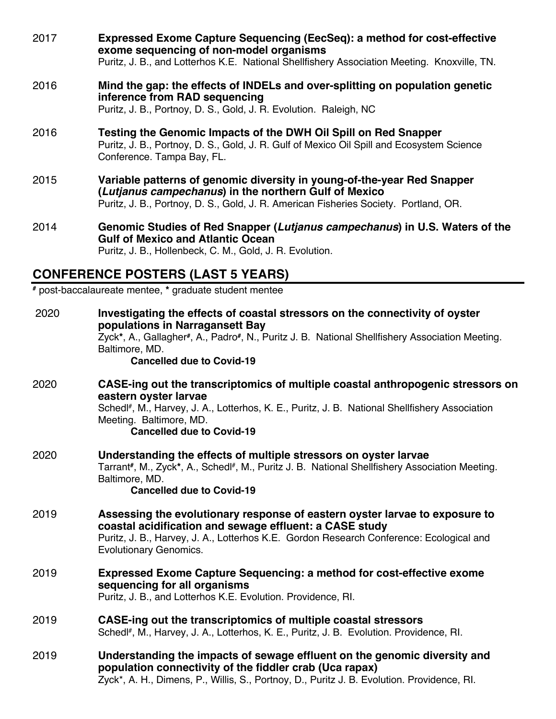| 2016<br>inference from RAD sequencing<br>Puritz, J. B., Portnoy, D. S., Gold, J. R. Evolution. Raleigh, NC<br>Testing the Genomic Impacts of the DWH Oil Spill on Red Snapper<br>2016<br>Conference. Tampa Bay, FL.<br>2015<br>(Lutjanus campechanus) in the northern Gulf of Mexico<br>Puritz, J. B., Portnoy, D. S., Gold, J. R. American Fisheries Society. Portland, OR.<br>2014<br><b>Gulf of Mexico and Atlantic Ocean</b><br>Puritz, J. B., Hollenbeck, C. M., Gold, J. R. Evolution. | 2017 | Expressed Exome Capture Sequencing (EecSeq): a method for cost-effective<br>exome sequencing of non-model organisms<br>Puritz, J. B., and Lotterhos K.E. National Shellfishery Association Meeting. Knoxville, TN. |
|----------------------------------------------------------------------------------------------------------------------------------------------------------------------------------------------------------------------------------------------------------------------------------------------------------------------------------------------------------------------------------------------------------------------------------------------------------------------------------------------|------|--------------------------------------------------------------------------------------------------------------------------------------------------------------------------------------------------------------------|
|                                                                                                                                                                                                                                                                                                                                                                                                                                                                                              |      | Mind the gap: the effects of INDELs and over-splitting on population genetic                                                                                                                                       |
|                                                                                                                                                                                                                                                                                                                                                                                                                                                                                              |      | Puritz, J. B., Portnoy, D. S., Gold, J. R. Gulf of Mexico Oil Spill and Ecosystem Science                                                                                                                          |
|                                                                                                                                                                                                                                                                                                                                                                                                                                                                                              |      | Variable patterns of genomic diversity in young-of-the-year Red Snapper                                                                                                                                            |
|                                                                                                                                                                                                                                                                                                                                                                                                                                                                                              |      | Genomic Studies of Red Snapper (Lutjanus campechanus) in U.S. Waters of the                                                                                                                                        |

# **CONFERENCE POSTERS (LAST 5 YEARS) #** post-baccalaureate mentee, **\*** graduate student mentee

| 2020 | Investigating the effects of coastal stressors on the connectivity of oyster<br>populations in Narragansett Bay<br>Zyck*, A., Gallagher#, A., Padro#, N., Puritz J. B. National Shellfishery Association Meeting.<br>Baltimore, MD. |
|------|-------------------------------------------------------------------------------------------------------------------------------------------------------------------------------------------------------------------------------------|
|      | <b>Cancelled due to Covid-19</b>                                                                                                                                                                                                    |
| 2020 | CASE-ing out the transcriptomics of multiple coastal anthropogenic stressors on<br>eastern oyster larvae                                                                                                                            |
|      | Schedl#, M., Harvey, J. A., Lotterhos, K. E., Puritz, J. B. National Shellfishery Association<br>Meeting. Baltimore, MD.<br><b>Cancelled due to Covid-19</b>                                                                        |
| 2020 | Understanding the effects of multiple stressors on oyster larvae<br>Tarrant#, M., Zyck*, A., Schedl#, M., Puritz J. B. National Shellfishery Association Meeting.<br>Baltimore, MD.<br><b>Cancelled due to Covid-19</b>             |
| 2019 | Assessing the evolutionary response of eastern oyster larvae to exposure to<br>coastal acidification and sewage effluent: a CASE study<br>Puritz, J. B., Harvey, J. A., Lotterhos K.E. Gordon Research Conference: Ecological and   |
|      | <b>Evolutionary Genomics.</b>                                                                                                                                                                                                       |
| 2019 | <b>Expressed Exome Capture Sequencing: a method for cost-effective exome</b><br>sequencing for all organisms<br>Puritz, J. B., and Lotterhos K.E. Evolution. Providence, RI.                                                        |
| 2019 | CASE-ing out the transcriptomics of multiple coastal stressors<br>Schedl <sup>#</sup> , M., Harvey, J. A., Lotterhos, K. E., Puritz, J. B. Evolution. Providence, Rl.                                                               |
| 2019 | Understanding the impacts of sewage effluent on the genomic diversity and<br>population connectivity of the fiddler crab (Uca rapax)<br>Zyck*, A. H., Dimens, P., Willis, S., Portnoy, D., Puritz J. B. Evolution. Providence, RI.  |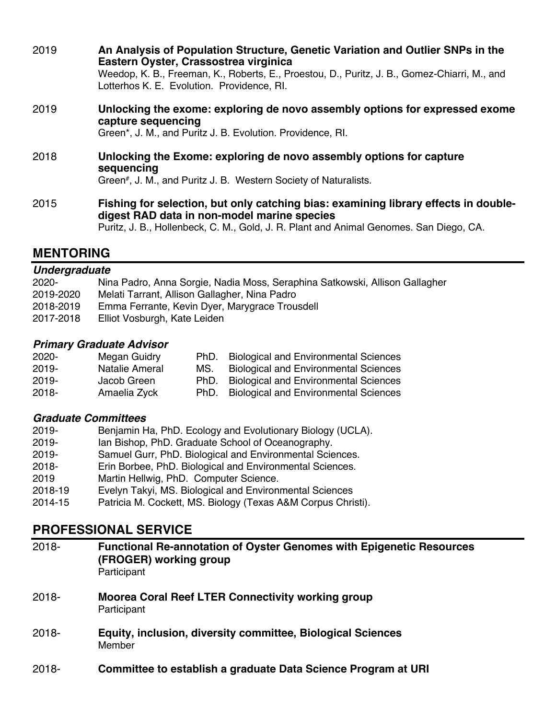| 2019 | An Analysis of Population Structure, Genetic Variation and Outlier SNPs in the<br>Eastern Oyster, Crassostrea virginica                    |  |  |
|------|--------------------------------------------------------------------------------------------------------------------------------------------|--|--|
|      | Weedop, K. B., Freeman, K., Roberts, E., Proestou, D., Puritz, J. B., Gomez-Chiarri, M., and<br>Lotterhos K. E. Evolution. Providence, RI. |  |  |
| 2019 | Unlocking the exome: exploring de novo assembly options for expressed exome<br>capture sequencing                                          |  |  |
|      | Green*, J. M., and Puritz J. B. Evolution. Providence, RI.                                                                                 |  |  |
| 2018 | Unlocking the Exome: exploring de novo assembly options for capture<br>sequencing                                                          |  |  |
|      | Green <sup>#</sup> , J. M., and Puritz J. B. Western Society of Naturalists.                                                               |  |  |
| 2015 | Fishing for selection, but only catching bias: examining library effects in double-<br>digest RAD data in non-model marine species         |  |  |
|      | Puritz, J. B., Hollenbeck, C. M., Gold, J. R. Plant and Animal Genomes. San Diego, CA.                                                     |  |  |

## **MENTORING**

#### *Undergraduate*

| $2020 -$  | Nina Padro, Anna Sorgie, Nadia Moss, Seraphina Satkowski, Allison Gallagher |
|-----------|-----------------------------------------------------------------------------|
| 2019-2020 | Melati Tarrant, Allison Gallagher, Nina Padro                               |
| 2018-2019 | Emma Ferrante, Kevin Dyer, Marygrace Trousdell                              |
| 2017-2018 | Elliot Vosburgh, Kate Leiden                                                |
|           |                                                                             |

#### *Primary Graduate Advisor*

| 2020-    | Megan Guidry   | PhD. | <b>Biological and Environmental Sciences</b> |
|----------|----------------|------|----------------------------------------------|
| $2019 -$ | Natalie Ameral | MS.  | <b>Biological and Environmental Sciences</b> |
| $2019 -$ | Jacob Green    | PhD. | <b>Biological and Environmental Sciences</b> |
| $2018 -$ | Amaelia Zyck   | PhD. | <b>Biological and Environmental Sciences</b> |

#### *Graduate Committees*

- 2019- Benjamin Ha, PhD. Ecology and Evolutionary Biology (UCLA).
- 2019- Ian Bishop, PhD. Graduate School of Oceanography.
- 2019- Samuel Gurr, PhD. Biological and Environmental Sciences.
- 2018- Erin Borbee, PhD. Biological and Environmental Sciences.
- 2019 Martin Hellwig, PhD. Computer Science.
- 2018-19 Evelyn Takyi, MS. Biological and Environmental Sciences
- Patricia M. Cockett, MS. Biology (Texas A&M Corpus Christi).

## **PROFESSIONAL SERVICE**

| $2018 -$ | <b>Functional Re-annotation of Oyster Genomes with Epigenetic Resources</b><br>(FROGER) working group<br>Participant |
|----------|----------------------------------------------------------------------------------------------------------------------|
| $2018 -$ | <b>Moorea Coral Reef LTER Connectivity working group</b><br>Participant                                              |
| $2018 -$ | Equity, inclusion, diversity committee, Biological Sciences<br>Member                                                |
| $2018 -$ | Committee to establish a graduate Data Science Program at URI                                                        |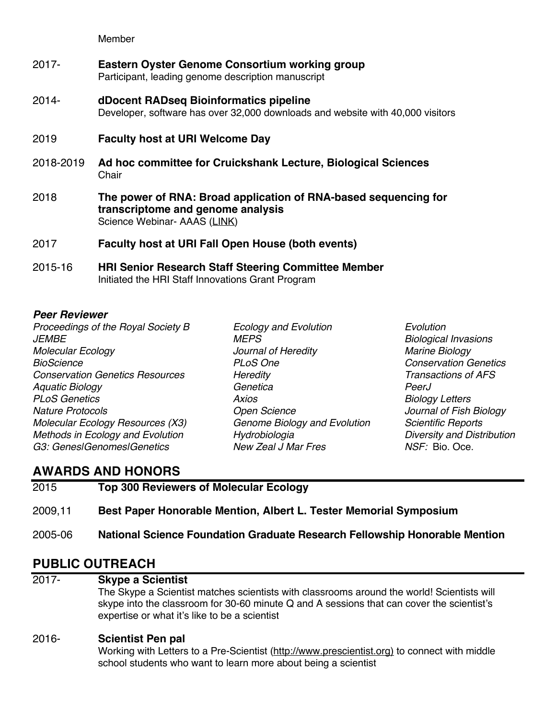Member

- 2017- **Eastern Oyster Genome Consortium working group** Participant, leading genome description manuscript
- 2014- **dDocent RADseq Bioinformatics pipeline** Developer, software has over 32,000 downloads and website with 40,000 visitors
- 2019 **Faculty host at URI Welcome Day**
- 2018-2019 **Ad hoc committee for Cruickshank Lecture, Biological Sciences Chair**
- 2018 **The power of RNA: Broad application of RNA-based sequencing for transcriptome and genome analysis** Science Webinar- AAAS (LINK)
- 2017 **Faculty host at URI Fall Open House (both events)**
- 2015-16 **HRI Senior Research Staff Steering Committee Member** Initiated the HRI Staff Innovations Grant Program

#### *Peer Reviewer*

*Proceedings of the Royal Society B Ecology and Evolution Evolution JEMBE MEPS Biological Invasions Molecular Ecology Journal of Heredity Marine Biology BioScience PLoS One Conservation Genetics Conservation Genetics Resources Heredity Aquatic Biology Genetica PeerJ PLoS Genetics Axios Biology Letters Nature Protocols Open Science Journal of Fish Biology Molecular Ecology Resources (X3) Genome Biology and Evolution Scientific Reports Methods in Ecology and Evolution Hydrobiologia Diversity and Distribution G3: Genes|Genomes|Genetics New Zeal J Mar Fres NSF:* Bio. Oce.

- 
- 

## **AWARDS AND HONORS**

| 2015    | <b>Top 300 Reviewers of Molecular Ecology</b>                              |
|---------|----------------------------------------------------------------------------|
| 2009.11 | Best Paper Honorable Mention, Albert L. Tester Memorial Symposium          |
| 2005-06 | National Science Foundation Graduate Research Fellowship Honorable Mention |

## **PUBLIC OUTREACH**

2017- **Skype a Scientist**

The Skype a Scientist matches scientists with classrooms around the world! Scientists will skype into the classroom for 30-60 minute Q and A sessions that can cover the scientist's expertise or what it's like to be a scientist

#### 2016- **Scientist Pen pal**

Working with Letters to a Pre-Scientist (http://www.prescientist.org) to connect with middle school students who want to learn more about being a scientist